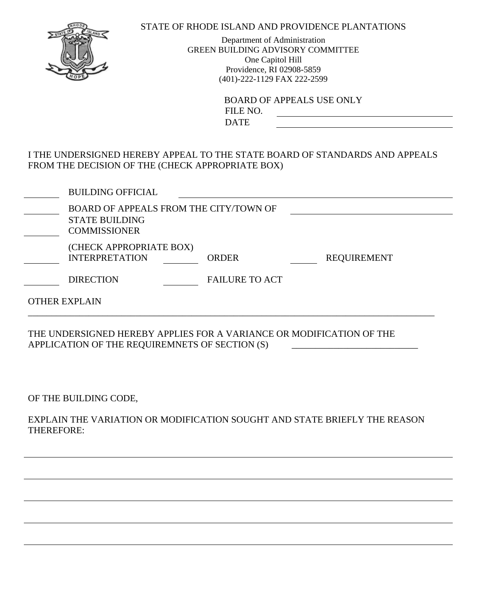## STATE OF RHODE ISLAND AND PROVIDENCE PLANTATIONS

Department of Administration GREEN BUILDING ADVISORY COMMITTEE One Capitol Hill Providence, RI 02908-5859 (401)-222-1129 FAX 222-2599

> BOARD OF APPEALS USE ONLY FILE NO. DATE

I THE UNDERSIGNED HEREBY APPEAL TO THE STATE BOARD OF STANDARDS AND APPEALS FROM THE DECISION OF THE (CHECK APPROPRIATE BOX)

|                      | <b>BUILDING OFFICIAL</b>                                                               |                       |  |                    |  |  |
|----------------------|----------------------------------------------------------------------------------------|-----------------------|--|--------------------|--|--|
|                      | BOARD OF APPEALS FROM THE CITY/TOWN OF<br><b>STATE BUILDING</b><br><b>COMMISSIONER</b> |                       |  |                    |  |  |
|                      | (CHECK APPROPRIATE BOX)<br><b>INTERPRETATION</b>                                       | <b>ORDER</b>          |  | <b>REQUIREMENT</b> |  |  |
|                      | <b>DIRECTION</b>                                                                       | <b>FAILURE TO ACT</b> |  |                    |  |  |
| <b>OTHER EXPLAIN</b> |                                                                                        |                       |  |                    |  |  |
|                      |                                                                                        |                       |  |                    |  |  |

THE UNDERSIGNED HEREBY APPLIES FOR A VARIANCE OR MODIFICATION OF THE APPLICATION OF THE REQUIREMNETS OF SECTION (S)

OF THE BUILDING CODE,

EXPLAIN THE VARIATION OR MODIFICATION SOUGHT AND STATE BRIEFLY THE REASON THEREFORE: